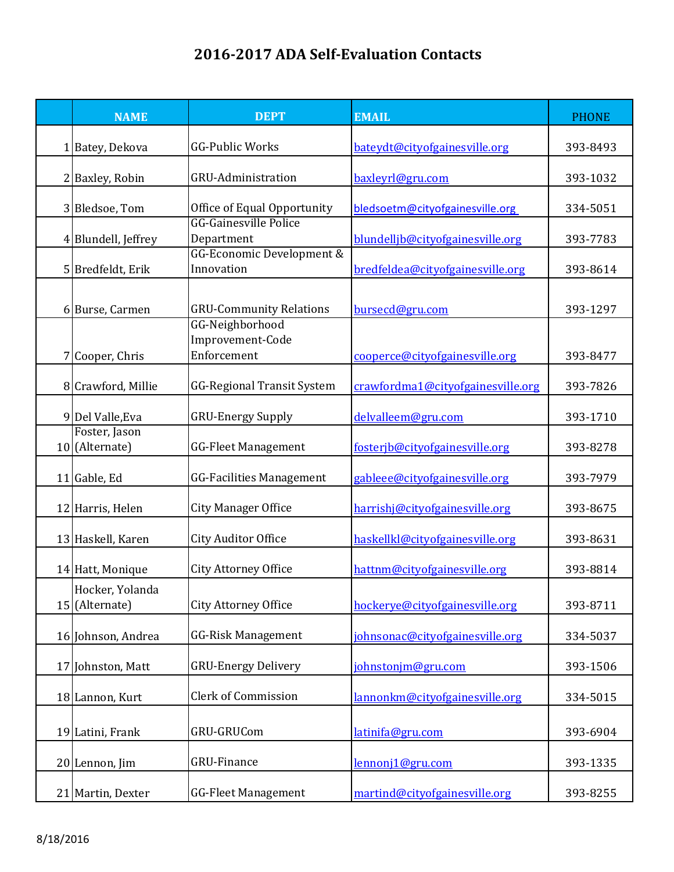## **2016-2017 ADA Self-Evaluation Contacts**

| <b>NAME</b>                       | <b>DEPT</b>                                       | <b>EMAIL</b>                      | <b>PHONE</b> |
|-----------------------------------|---------------------------------------------------|-----------------------------------|--------------|
| Batey, Dekova                     | GG-Public Works                                   | bateydt@cityofgainesville.org     | 393-8493     |
| Baxley, Robin                     | <b>GRU-Administration</b>                         | baxleyrl@gru.com                  | 393-1032     |
| 3 Bledsoe, Tom                    | Office of Equal Opportunity                       | bledsoetm@cityofgainesville.org   | 334-5051     |
| 4 Blundell, Jeffrey               | <b>GG-Gainesville Police</b><br>Department        | blundelljb@cityofgainesville.org  | 393-7783     |
| 5 Bredfeldt, Erik                 | GG-Economic Development &<br>Innovation           | bredfeldea@cityofgainesville.org  | 393-8614     |
| 6 Burse, Carmen                   | <b>GRU-Community Relations</b><br>GG-Neighborhood | bursecd@gru.com                   | 393-1297     |
| Cooper, Chris                     | Improvement-Code<br>Enforcement                   | cooperce@cityofgainesville.org    | 393-8477     |
| 8 Crawford, Millie                | <b>GG-Regional Transit System</b>                 | crawfordma1@cityofgainesville.org | 393-7826     |
| 9 Del Valle, Eva                  | <b>GRU-Energy Supply</b>                          | delvalleem@gru.com                | 393-1710     |
| Foster, Jason<br>10 (Alternate)   | <b>GG-Fleet Management</b>                        | fosterjb@cityofgainesville.org    | 393-8278     |
| 11 Gable, Ed                      | <b>GG-Facilities Management</b>                   | gableee@cityofgainesville.org     | 393-7979     |
| 12 Harris, Helen                  | <b>City Manager Office</b>                        | harrishj@cityofgainesville.org    | 393-8675     |
| 13 Haskell, Karen                 | <b>City Auditor Office</b>                        | haskellkl@cityofgainesville.org   | 393-8631     |
| 14 Hatt, Monique                  | <b>City Attorney Office</b>                       | hattnm@cityofgainesville.org      | 393-8814     |
| Hocker, Yolanda<br>15 (Alternate) | City Attorney Office                              | hockerve@cityofgainesville.org    | 393-8711     |
| 16 Johnson, Andrea                | <b>GG-Risk Management</b>                         | johnsonac@cityofgainesville.org   | 334-5037     |
| 17 Johnston, Matt                 | <b>GRU-Energy Delivery</b>                        | johnstonim@gru.com                | 393-1506     |
| 18 Lannon, Kurt                   | <b>Clerk of Commission</b>                        | lannonkm@cityofgainesville.org    | 334-5015     |
| 19 Latini, Frank                  | GRU-GRUCom                                        | latinifa@gru.com                  | 393-6904     |
| 20 Lennon, Jim                    | GRU-Finance                                       | lennonj1@gru.com                  | 393-1335     |
| 21 Martin, Dexter                 | <b>GG-Fleet Management</b>                        | martind@cityofgainesville.org     | 393-8255     |